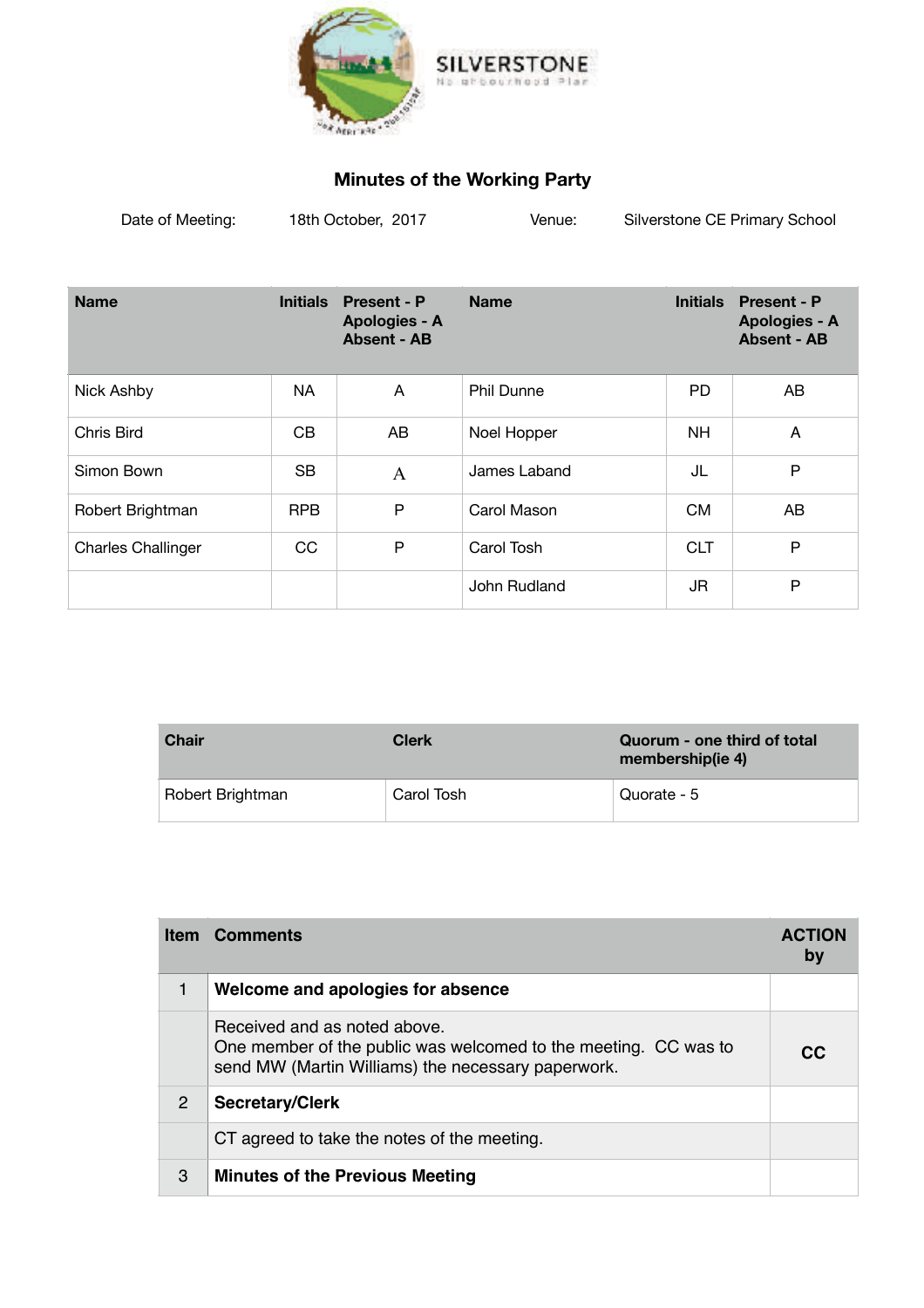

## **Minutes of the Working Party**

| Date of Meeting: | 18th October, 2017 | Venue: | Silverstone CE Primary School |
|------------------|--------------------|--------|-------------------------------|
|                  |                    |        |                               |

| <b>Name</b>               | <b>Initials</b> | <b>Present - P</b><br>Apologies - A<br><b>Absent - AB</b> | <b>Name</b>       | <b>Initials</b> | <b>Present - P</b><br>Apologies - A<br><b>Absent - AB</b> |
|---------------------------|-----------------|-----------------------------------------------------------|-------------------|-----------------|-----------------------------------------------------------|
| Nick Ashby                | NA              | A                                                         | <b>Phil Dunne</b> | <b>PD</b>       | AB                                                        |
| Chris Bird                | CB              | AB                                                        | Noel Hopper       | <b>NH</b>       | A                                                         |
| Simon Bown                | <b>SB</b>       | $\mathsf{A}$                                              | James Laband      | JL              | P                                                         |
| Robert Brightman          | <b>RPB</b>      | P                                                         | Carol Mason       | <b>CM</b>       | AB                                                        |
| <b>Charles Challinger</b> | CC              | P                                                         | Carol Tosh        | <b>CLT</b>      | P                                                         |
|                           |                 |                                                           | John Rudland      | JR              | P                                                         |

| <b>Chair</b>     | <b>Clerk</b> | Quorum - one third of total<br>membership(ie 4) |
|------------------|--------------|-------------------------------------------------|
| Robert Brightman | Carol Tosh   | Quorate - 5                                     |

|   | <b>Item Comments</b>                                                                                                                                  | <b>ACTION</b><br>by |
|---|-------------------------------------------------------------------------------------------------------------------------------------------------------|---------------------|
|   | Welcome and apologies for absence                                                                                                                     |                     |
|   | Received and as noted above.<br>One member of the public was welcomed to the meeting. CC was to<br>send MW (Martin Williams) the necessary paperwork. | CC.                 |
| 2 | <b>Secretary/Clerk</b>                                                                                                                                |                     |
|   | CT agreed to take the notes of the meeting.                                                                                                           |                     |
| 3 | <b>Minutes of the Previous Meeting</b>                                                                                                                |                     |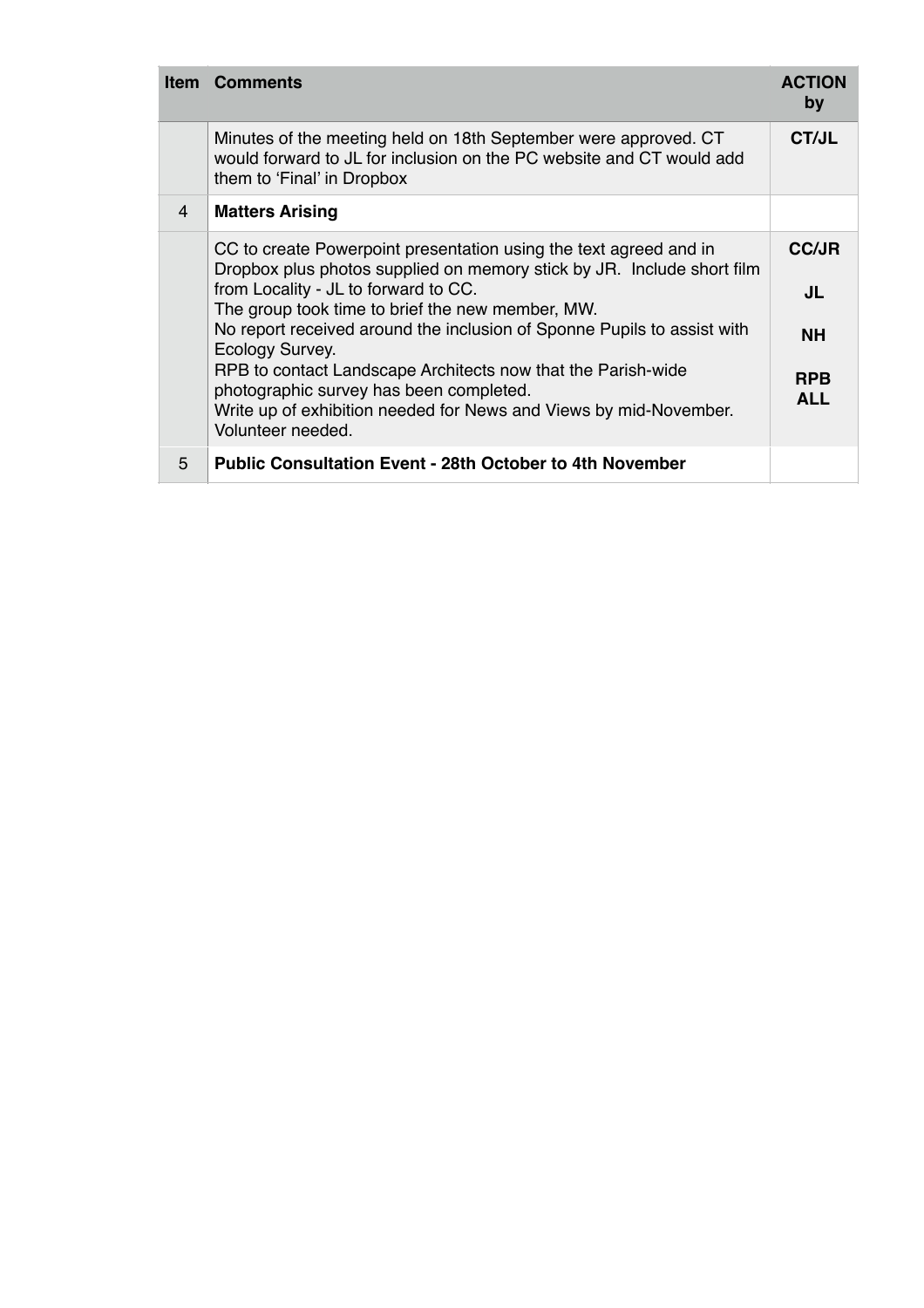|   | <b>Item Comments</b>                                                                                                                                                                                                                                                                                                                                                                                                                                                                                                                       | <b>ACTION</b><br>by                                         |
|---|--------------------------------------------------------------------------------------------------------------------------------------------------------------------------------------------------------------------------------------------------------------------------------------------------------------------------------------------------------------------------------------------------------------------------------------------------------------------------------------------------------------------------------------------|-------------------------------------------------------------|
|   | Minutes of the meeting held on 18th September were approved. CT<br>would forward to JL for inclusion on the PC website and CT would add<br>them to 'Final' in Dropbox                                                                                                                                                                                                                                                                                                                                                                      | CT/JL                                                       |
| 4 | <b>Matters Arising</b>                                                                                                                                                                                                                                                                                                                                                                                                                                                                                                                     |                                                             |
|   | CC to create Powerpoint presentation using the text agreed and in<br>Dropbox plus photos supplied on memory stick by JR. Include short film<br>from Locality - JL to forward to CC.<br>The group took time to brief the new member, MW.<br>No report received around the inclusion of Sponne Pupils to assist with<br>Ecology Survey.<br>RPB to contact Landscape Architects now that the Parish-wide<br>photographic survey has been completed.<br>Write up of exhibition needed for News and Views by mid-November.<br>Volunteer needed. | <b>CC/JR</b><br>JL<br><b>NH</b><br><b>RPB</b><br><b>ALL</b> |
| 5 | <b>Public Consultation Event - 28th October to 4th November</b>                                                                                                                                                                                                                                                                                                                                                                                                                                                                            |                                                             |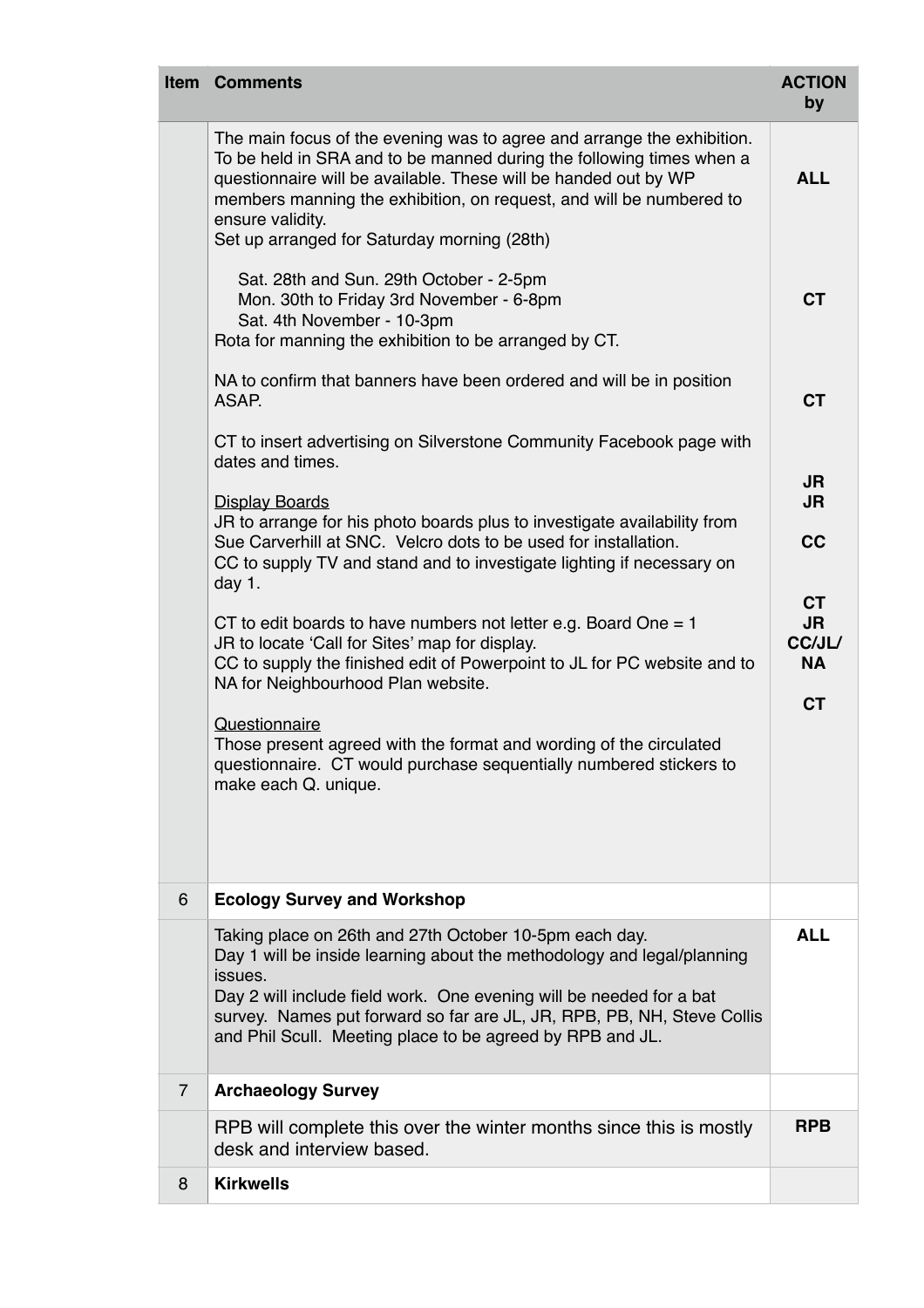|                | <b>Item Comments</b>                                                                                                                                                                                                                                                                                                                                        | <b>ACTION</b><br>by                           |
|----------------|-------------------------------------------------------------------------------------------------------------------------------------------------------------------------------------------------------------------------------------------------------------------------------------------------------------------------------------------------------------|-----------------------------------------------|
|                | The main focus of the evening was to agree and arrange the exhibition.<br>To be held in SRA and to be manned during the following times when a<br>questionnaire will be available. These will be handed out by WP<br>members manning the exhibition, on request, and will be numbered to<br>ensure validity.<br>Set up arranged for Saturday morning (28th) | <b>ALL</b>                                    |
|                | Sat. 28th and Sun. 29th October - 2-5pm<br>Mon. 30th to Friday 3rd November - 6-8pm<br>Sat. 4th November - 10-3pm<br>Rota for manning the exhibition to be arranged by CT.                                                                                                                                                                                  | <b>CT</b>                                     |
|                | NA to confirm that banners have been ordered and will be in position<br>ASAP.                                                                                                                                                                                                                                                                               | <b>CT</b>                                     |
|                | CT to insert advertising on Silverstone Community Facebook page with<br>dates and times.                                                                                                                                                                                                                                                                    | <b>JR</b>                                     |
|                | <b>Display Boards</b><br>JR to arrange for his photo boards plus to investigate availability from<br>Sue Carverhill at SNC. Velcro dots to be used for installation.<br>CC to supply TV and stand and to investigate lighting if necessary on<br>day 1.                                                                                                     | <b>JR</b><br>cc                               |
|                | CT to edit boards to have numbers not letter e.g. Board One $= 1$<br>JR to locate 'Call for Sites' map for display.<br>CC to supply the finished edit of Powerpoint to JL for PC website and to<br>NA for Neighbourhood Plan website.                                                                                                                       | <b>CT</b><br><b>JR</b><br>CC/JL/<br><b>NA</b> |
|                | Questionnaire<br>Those present agreed with the format and wording of the circulated<br>questionnaire. CT would purchase sequentially numbered stickers to<br>make each Q. unique.                                                                                                                                                                           | <b>CT</b>                                     |
| $6\phantom{1}$ | <b>Ecology Survey and Workshop</b>                                                                                                                                                                                                                                                                                                                          |                                               |
|                | Taking place on 26th and 27th October 10-5pm each day.<br>Day 1 will be inside learning about the methodology and legal/planning<br>issues.<br>Day 2 will include field work. One evening will be needed for a bat<br>survey. Names put forward so far are JL, JR, RPB, PB, NH, Steve Collis<br>and Phil Scull. Meeting place to be agreed by RPB and JL.   | <b>ALL</b>                                    |
| $\overline{7}$ | <b>Archaeology Survey</b>                                                                                                                                                                                                                                                                                                                                   |                                               |
|                | RPB will complete this over the winter months since this is mostly<br>desk and interview based.                                                                                                                                                                                                                                                             | <b>RPB</b>                                    |
| 8              | <b>Kirkwells</b>                                                                                                                                                                                                                                                                                                                                            |                                               |